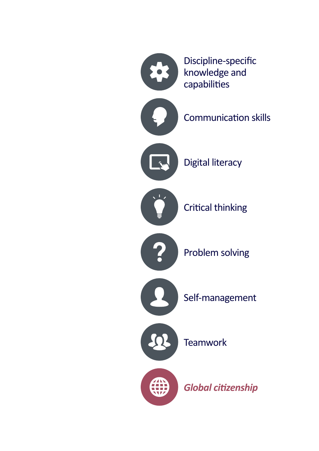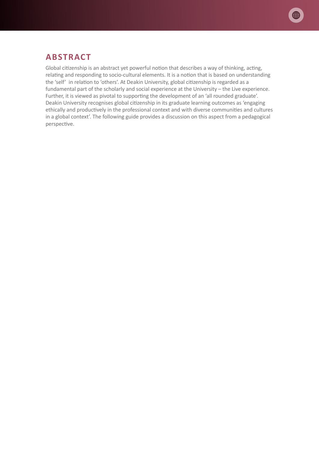

## **ABSTRACT**

Global citizenship is an abstract yet powerful notion that describes a way of thinking, acting, relating and responding to socio-cultural elements. It is a notion that is based on understanding the 'self' in relation to 'others'. At Deakin University, global citizenship is regarded as a fundamental part of the scholarly and social experience at the University – the Live experience. Further, it is viewed as pivotal to supporting the development of an 'all rounded graduate'. Deakin University recognises global citizenship in its graduate learning outcomes as 'engaging ethically and productively in the professional context and with diverse communities and cultures in a global context'. The following guide provides a discussion on this aspect from a pedagogical perspective.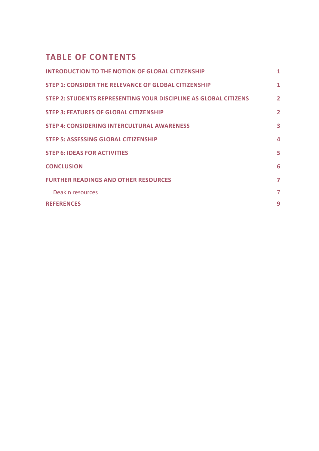# **TABLE OF CONTENTS**

| <b>INTRODUCTION TO THE NOTION OF GLOBAL CITIZENSHIP</b>                 | 1              |
|-------------------------------------------------------------------------|----------------|
| <b>STEP 1: CONSIDER THE RELEVANCE OF GLOBAL CITIZENSHIP</b>             | 1              |
| <b>STEP 2: STUDENTS REPRESENTING YOUR DISCIPLINE AS GLOBAL CITIZENS</b> | $\overline{2}$ |
| <b>STEP 3: FEATURES OF GLOBAL CITIZENSHIP</b>                           | $\overline{2}$ |
| <b>STEP 4: CONSIDERING INTERCULTURAL AWARENESS</b>                      | 3              |
| <b>STEP 5: ASSESSING GLOBAL CITIZENSHIP</b>                             | 4              |
| <b>STEP 6: IDEAS FOR ACTIVITIES</b>                                     | 5              |
| <b>CONCLUSION</b>                                                       | 6              |
| <b>FURTHER READINGS AND OTHER RESOURCES</b>                             | 7              |
| Deakin resources                                                        | 7              |
| <b>REFERENCES</b>                                                       | 9              |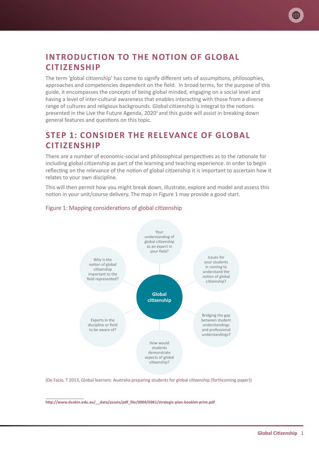# <span id="page-3-0"></span>**INTRODUCTION TO THE NOTION OF GLOBAL CITIZENSHIP**

The term 'global citizenship' has come to signify different sets of assumptions, philosophies, approaches and competencies dependent on the field. In broad terms, for the purpose of this guide, it encompasses the concepts of being global minded, engaging on a social level and having a level of inter-cultural awareness that enables interacting with those from a diverse range of cultures and religious backgrounds. Global citizenship is integral to the notions presented in the Live the Future Agenda, 2020<sup>1</sup> and this guide will assist in breaking down general features and questions on this topic.

# **STEP 1: CONSIDER THE RELEVANCE OF GLOBAL CITIZENSHIP**

There are a number of economic-social and philosophical perspectives as to the rationale for including global citizenship as part of the learning and teaching experience. In order to begin reflecting on the relevance of the notion of global citizenship it is important to ascertain how it relates to your own discipline.

This will then permit how you might break down, illustrate, explore and model and assess this notion in your unit/course delivery. The map in Figure 1 may provide a good start.



### Figure 1: Mapping considerations of global citizenship

(De Fazio, T 2013, Global learners: Australia preparing students for global citizenship (forthcoming paper))

**[http://www.deakin.edu.au/\\_\\_data/assets/pdf\\_file/0004/6961/strategic-plan-booklet-print.pdf](http://www.deakin.edu.au/__data/assets/pdf_file/0004/6961/strategic-plan-booklet-print.pdf)**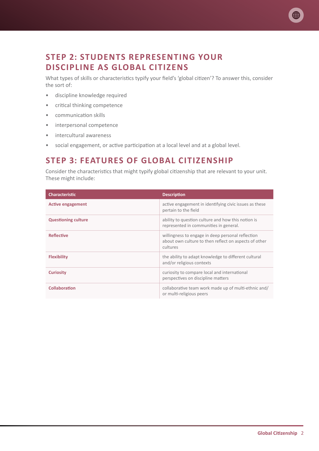# <span id="page-4-0"></span>**STEP 2: STUDENTS REPRESENTING YOUR DISCIPLINE AS GLOBAL CITIZENS**

What types of skills or characteristics typify your field's 'global citizen'? To answer this, consider the sort of:

- discipline knowledge required
- critical thinking competence
- communication skills
- interpersonal competence
- intercultural awareness
- social engagement, or active participation at a local level and at a global level.

### **STEP 3: FEATURES OF GLOBAL CITIZENSHIP**

Consider the characteristics that might typify global citizenship that are relevant to your unit. These might include:

| <b>Characteristic</b>      | <b>Description</b>                                                                                                     |
|----------------------------|------------------------------------------------------------------------------------------------------------------------|
| <b>Active engagement</b>   | active engagement in identifying civic issues as these<br>pertain to the field                                         |
| <b>Questioning culture</b> | ability to question culture and how this notion is<br>represented in communities in general.                           |
| <b>Reflective</b>          | willingness to engage in deep personal reflection<br>about own culture to then reflect on aspects of other<br>cultures |
| <b>Flexibility</b>         | the ability to adapt knowledge to different cultural<br>and/or religious contexts                                      |
| <b>Curiosity</b>           | curiosity to compare local and international<br>perspectives on discipline matters                                     |
| <b>Collaboration</b>       | collaborative team work made up of multi-ethnic and/<br>or multi-religious peers                                       |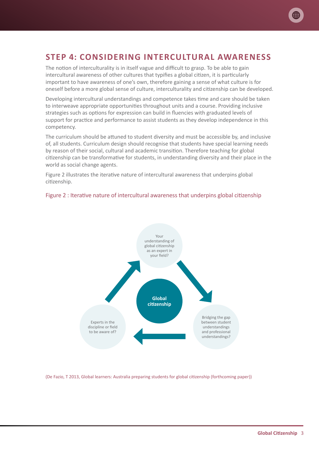## <span id="page-5-0"></span>**STEP 4: CONSIDERING INTERCULTURAL AWARENESS**

The notion of interculturality is in itself vague and difficult to grasp. To be able to gain intercultural awareness of other cultures that typifies a global citizen, it is particularly important to have awareness of one's own, therefore gaining a sense of what culture is for oneself before a more global sense of culture, interculturality and citizenship can be developed.

Developing intercultural understandings and competence takes time and care should be taken to interweave appropriate opportunities throughout units and a course. Providing inclusive strategies such as options for expression can build in fluencies with graduated levels of support for practice and performance to assist students as they develop independence in this competency.

The curriculum should be attuned to student diversity and must be accessible by, and inclusive of, all students. Curriculum design should recognise that students have special learning needs by reason of their social, cultural and academic transition. Therefore teaching for global citizenship can be transformative for students, in understanding diversity and their place in the world as social change agents.

Figure 2 illustrates the iterative nature of intercultural awareness that underpins global citizenship.

### Figure 2 : Iterative nature of intercultural awareness that underpins global citizenship



(De Fazio, T 2013, Global learners: Australia preparing students for global citizenship (forthcoming paper))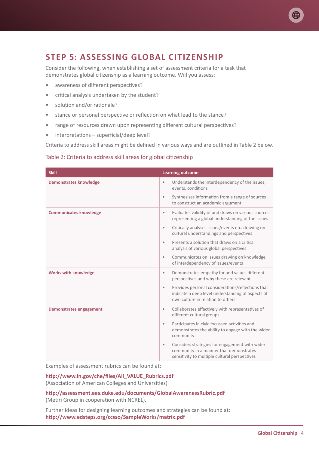# <span id="page-6-0"></span>**STEP 5: ASSESSING GLOBAL CITIZENSHIP**

Consider the following, when establishing a set of assessment criteria for a task that demonstrates global citizenship as a learning outcome. Will you assess:

- awareness of different perspectives?
- critical analysis undertaken by the student?
- solution and/or rationale?
- stance or personal perspective or reflection on what lead to the stance?
- range of resources drawn upon representing different cultural perspectives?
- interpretations superficial/deep level?

Criteria to address skill areas might be defined in various ways and are outlined in Table 2 below.

### Table 2: Criteria to address skill areas for global citizenship

| <b>Skill</b>                  | <b>Learning outcome</b>                                                                                                                                  |  |  |
|-------------------------------|----------------------------------------------------------------------------------------------------------------------------------------------------------|--|--|
| <b>Demonstrates knowledge</b> | Understands the interdependency of the issues,<br>$\bullet$<br>events, conditions                                                                        |  |  |
|                               | Synthesises information from a range of sources<br>$\bullet$<br>to construct an academic argument                                                        |  |  |
| <b>Communicates knowledge</b> | Evaluates validity of and draws on various sources<br>$\bullet$<br>representing a global understanding of the issues                                     |  |  |
|                               | Critically analyses issues/events etc. drawing on<br>$\bullet$<br>cultural understandings and perspectives                                               |  |  |
|                               | Presents a solution that draws on a critical<br>$\bullet$<br>analysis of various global perspectives                                                     |  |  |
|                               | Communicates on issues drawing on knowledge<br>$\bullet$<br>of interdependency of issues/events                                                          |  |  |
| <b>Works with knowledge</b>   | Demonstrates empathy for and values different<br>$\bullet$<br>perspectives and why these are relevant                                                    |  |  |
|                               | Provides personal considerations/reflections that<br>$\bullet$<br>indicate a deep level understanding of aspects of<br>own culture in relation to others |  |  |
| Demonstrates engagement       | Collaborates effectively with representatives of<br>$\bullet$<br>different cultural groups                                                               |  |  |
|                               | Participates in civic focussed activities and<br>$\bullet$<br>demonstrates the ability to engage with the wider<br>community                             |  |  |
|                               | Considers strategies for engagement with wider<br>$\bullet$<br>community in a manner that demonstrates<br>sensitivity to multiple cultural perspectives  |  |  |

Examples of assessment rubrics can be found at:

**[http://www.in.gov/che/files/All\\_VALUE\\_Rubrics.pdf](http://www.in.gov/che/files/All_VALUE_Rubrics.pdf)** (Association of American Colleges and Universities)

**<http://assessment.aas.duke.edu/documents/GlobalAwarenessRubric.pdf>** (Metiri Group in cooperation with NCREL).

Further ideas for designing learning outcomes and strategies can be found at: **<http://www.edsteps.org/ccsso/SampleWorks/matrix.pdf>**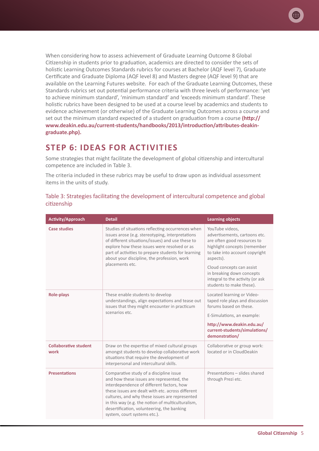<span id="page-7-0"></span>When considering how to assess achievement of Graduate Learning Outcome 8 Global Citizenship in students prior to graduation, academics are directed to consider the sets of holistic Learning Outcomes Standards rubrics for courses at Bachelor (AQF level 7), Graduate Certificate and Graduate Diploma (AQF level 8) and Masters degree (AQF level 9) that are available on the Learning Futures website. For each of the Graduate Learning Outcomes, these Standards rubrics set out potential performance criteria with three levels of performance: 'yet to achieve minimum standard', 'minimum standard' and 'exceeds minimum standard'. These holistic rubrics have been designed to be used at a course level by academics and students to evidence achievement (or otherwise) of the Graduate Learning Outcomes across a course and set out the minimum standard expected of a student on graduation from a course **([http://](http://www.deakin.edu.au/current-students/handbooks/2013/introduction/attributes-deakin-graduate.php) [www.deakin.edu.au/current-students/handbooks/2013/introduction/attributes-deakin](http://www.deakin.edu.au/current-students/handbooks/2013/introduction/attributes-deakin-graduate.php)[graduate.php\)](http://www.deakin.edu.au/current-students/handbooks/2013/introduction/attributes-deakin-graduate.php).**

# **STEP 6: IDEAS FOR ACTIVITIES**

Some strategies that might facilitate the development of global citizenship and intercultural competence are included in Table 3.

The criteria included in these rubrics may be useful to draw upon as individual assessment items in the units of study.

| <b>Activity/Approach</b>             | <b>Detail</b>                                                                                                                                                                                                                                                                                                                                                               | <b>Learning objects</b>                                                                                                                                                                                                                                                                  |
|--------------------------------------|-----------------------------------------------------------------------------------------------------------------------------------------------------------------------------------------------------------------------------------------------------------------------------------------------------------------------------------------------------------------------------|------------------------------------------------------------------------------------------------------------------------------------------------------------------------------------------------------------------------------------------------------------------------------------------|
| <b>Case studies</b>                  | Studies of situations reflecting occurrences when<br>issues arose (e.g. stereotyping, interpretations<br>of different situations/issues) and use these to<br>explore how these issues were resolved or as<br>part of activities to prepare students for learning<br>about your discipline, the profession, work<br>placements etc.                                          | YouTube videos,<br>advertisements, cartoons etc.<br>are often good resources to<br>highlight concepts (remember<br>to take into account copyright<br>aspects).<br>Cloud concepts can assist<br>in breaking down concepts<br>integral to the activity (or ask<br>students to make these). |
| <b>Role-plays</b>                    | These enable students to develop<br>understandings, align expectations and tease out<br>issues that they might encounter in practicum<br>scenarios etc.                                                                                                                                                                                                                     | Located learning or Video-<br>taped role plays and discussion<br>forums based on these.<br>E-Simulations, an example:<br>http://www.deakin.edu.au/<br>current-students/simulations/<br>demonstration/                                                                                    |
| <b>Collaborative student</b><br>work | Draw on the expertise of mixed cultural groups<br>amongst students to develop collaborative work<br>situations that require the development of<br>interpersonal and intercultural skills.                                                                                                                                                                                   | Collaborative or group work:<br>located or in CloudDeakin                                                                                                                                                                                                                                |
| <b>Presentations</b>                 | Comparative study of a discipline issue<br>and how these issues are represented, the<br>interdependence of different factors, how<br>these issues are dealt with etc. across different<br>cultures, and why these issues are represented<br>in this way (e.g. the notion of multiculturalism,<br>desertification, volunteering, the banking<br>system, court systems etc.). | Presentations - slides shared<br>through Prezi etc.                                                                                                                                                                                                                                      |

### Table 3: Strategies facilitating the development of intercultural competence and global citizenship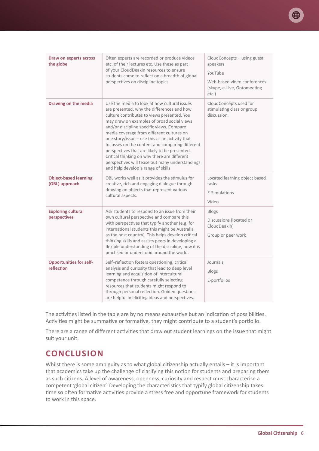

<span id="page-8-0"></span>

| <b>Draw on experts across</b><br>the globe     | Often experts are recorded or produce videos<br>etc. of their lectures etc. Use these as part<br>of your CloudDeakin resources to ensure<br>students come to reflect on a breadth of global<br>perspectives on discipline topics                                                                                                                                                                                                                                                                                                                                                 | CloudConcepts - using guest<br>speakers<br>YouTube<br>Web-based video conferences<br>(skype, e-Live, Gotomeeting<br>etc.) |
|------------------------------------------------|----------------------------------------------------------------------------------------------------------------------------------------------------------------------------------------------------------------------------------------------------------------------------------------------------------------------------------------------------------------------------------------------------------------------------------------------------------------------------------------------------------------------------------------------------------------------------------|---------------------------------------------------------------------------------------------------------------------------|
| Drawing on the media                           | Use the media to look at how cultural issues<br>are presented, why the differences and how<br>culture contributes to views presented. You<br>may draw on examples of broad social views<br>and/or discipline specific views. Compare<br>media coverage from different cultures on<br>one story/issue - use this as an activity that<br>focusses on the content and comparing different<br>perspectives that are likely to be presented.<br>Critical thinking on why there are different<br>perspectives will tease out many understandings<br>and help develop a range of skills | CloudConcepts used for<br>stimulating class or group<br>discussion.                                                       |
| <b>Object-based learning</b><br>(OBL) approach | OBL works well as it provides the stimulus for<br>creative, rich and engaging dialogue through<br>drawing on objects that represent various<br>cultural aspects.                                                                                                                                                                                                                                                                                                                                                                                                                 | Located learning object based<br>tasks<br>E-Simulations<br>Video                                                          |
| <b>Exploring cultural</b><br>perspectives      | Ask students to respond to an issue from their<br>own cultural perspective and compare this<br>with perspectives that typify another (e.g. for<br>international students this might be Australia<br>as the host country). This helps develop critical<br>thinking skills and assists peers in developing a<br>flexible understanding of the discipline, how it is<br>practised or understood around the world.                                                                                                                                                                   | <b>Blogs</b><br>Discussions (located or<br>CloudDeakin)<br>Group or peer work                                             |
| <b>Opportunities for self-</b><br>reflection   | Self-reflection fosters questioning, critical<br>analysis and curiosity that lead to deep level<br>learning and acquisition of intercultural<br>competence through carefully selecting<br>resources that students might respond to<br>through personal reflection. Guided questions<br>are helpful in eliciting ideas and perspectives.                                                                                                                                                                                                                                          | Journals<br><b>Blogs</b><br>E-portfolios                                                                                  |

The activities listed in the table are by no means exhaustive but an indication of possibilities. Activities might be summative or formative, they might contribute to a student's portfolio.

There are a range of different activities that draw out student learnings on the issue that might suit your unit.

### **CONCLUSION**

Whilst there is some ambiguity as to what global citizenship actually entails – it is important that academics take up the challenge of clarifying this notion for students and preparing them as such citizens. A level of awareness, openness, curiosity and respect must characterise a competent 'global citizen'. Developing the characteristics that typify global citizenship takes time so often formative activities provide a stress free and opportune framework for students to work in this space.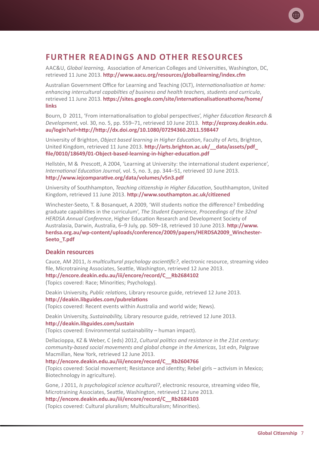## <span id="page-9-0"></span>**FURTHER READINGS AND OTHER RESOURCES**

AAC&U, *Global learning*, Association of American Colleges and Universities, Washington, DC, retrieved 11 June 2013. **<http://www.aacu.org/resources/globallearning/index.cfm>**

Australian Government Office for Learning and Teaching (OLT), *Internationalisation at home: enhancing intercultural capabilties of business and health teachers, students and curricula*, retrieved 11 June 2013. **[https://sites.google.com/site/internationalisationathome/home/](https://sites.google.com/site/internationalisationathome/home/links) [links](https://sites.google.com/site/internationalisationathome/home/links)**

Bourn, D 2011, 'From internationalisation to global perspectives', *Higher Education Research & Development*, vol. 30, no. 5, pp. 559–71, retrieved 10 June 2013. **http://ezproxy.deakin.edu. au/login?url=http://http://dx.doi.org/[10.1080/07294360.2011.598447](http://dx.doi.org/10.1080/07294360.2011.598447)**

University of Brighton, *Object based learning in Higher Education*, Faculty of Arts, Brighton, United Kingdom, retrieved 11 June 2013. **[http://arts.brighton.ac.uk/\\_\\_data/assets/pdf\\_](http://arts.brighton.ac.uk/__data/assets/pdf_file/0010/18649/01-Object-based-learning-in-higher-education.pdf) [file/0010/18649/01-Object-based-learning-in-higher-education.pdf](http://arts.brighton.ac.uk/__data/assets/pdf_file/0010/18649/01-Object-based-learning-in-higher-education.pdf)**

Hellstén, M & Prescott, A 2004, 'Learning at University: the international student experience', *International Education Journal*, vol. 5, no. 3, pp. 344–51, retrieved 10 June 2013. **http://www.iejcomparative.org/data/volumes/v5n3.pdf**

University of Southhampton, *Teaching citizenship in Higher Education*, Southhampton, United Kingdom, retrieved 11 June 2013. **<http://www.southampton.ac.uk/citizened>**

Winchester-Seeto, T. & Bosanquet, A 2009, 'Will students notice the difference? Embedding graduate capabilities in the curriculum', *The Student Experience, Proceedings of the 32nd HERDSA Annual Conference*, Higher Education Research and Development Society of Australasia, Darwin, Australia, 6–9 July, pp. 509–18, retrieved 10 June 2013. **[http://www.](http://www.herdsa.org.au/wp-content/uploads/conference/2009/papers/HERDSA2009_Winchester-Seeto_T.pdf) [herdsa.org.au/wp-content/uploads/conference/2009/papers/HERDSA2009\\_Winchester-](http://www.herdsa.org.au/wp-content/uploads/conference/2009/papers/HERDSA2009_Winchester-Seeto_T.pdf)[Seeto\\_T.pdf](http://www.herdsa.org.au/wp-content/uploads/conference/2009/papers/HERDSA2009_Winchester-Seeto_T.pdf)**

### **Deakin resources**

Cauce, AM 2011, *Is multicultural psychology ascientific?*, electronic resource, streaming video file, Microtraining Associates, Seattle, Washington, retrieved 12 June 2013. **[http://encore.deakin.edu.au/iii/encore/record/C\\_\\_Rb2684102](http://encore.deakin.edu.au/iii/encore/record/C__Rb2684102)** (Topics covered: Race; Minorities; Psychology).

Deakin University, *Public relations,* Library resource guide, retrieved 12 June 2013. **<http://deakin.libguides.com/pubrelations>** (Topics covered: Recent events within Australia and world wide; News).

Deakin University, *Sustainability,* Library resource guide, retrieved 12 June 2013. **<http://deakin.libguides.com/sustain>** (Topics covered: Environmental sustainability – human impact).

Dellacioppa, KZ & Weber, C (eds) 2012, *Cultural politics and resistance in the 21st century: community-based social movements and global change in the Americas*, 1st edn, Palgrave Macmillan, New York, retrieved 12 June 2013.

### **[http://encore.deakin.edu.au/iii/encore/record/C\\_\\_Rb2604766](http://encore.deakin.edu.au/iii/encore/record/C__Rb2604766)**

(Topics covered: Social movement; Resistance and identity; Rebel girls – activism in Mexico; Biotechnology in agriculture).

Gone, J 2011, *Is psychological science acultural?*, electronic resource, streaming video file, Microtraining Associates, Seattle, Washington, retrieved 12 June 2013. **[http://encore.deakin.edu.au/iii/encore/record/C\\_\\_Rb2684103](http://encore.deakin.edu.au/iii/encore/record/C__Rb2684103)**

(Topics covered: Cultural pluralism; Multiculturalism; Minorities).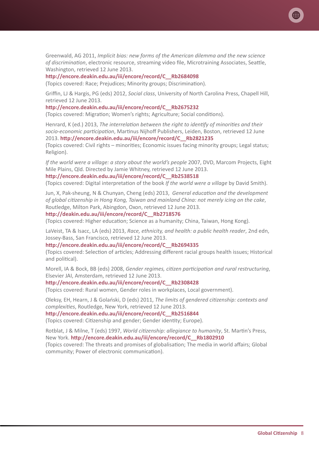Greenwald, AG 2011, *Implicit bias: new forms of the American dilemma and the new science of discrimination*, electronic resource, streaming video file, Microtraining Associates, Seattle, Washington, retrieved 12 June 2013.

### **[http://encore.deakin.edu.au/iii/encore/record/C\\_\\_Rb2684098](http://encore.deakin.edu.au/iii/encore/record/C__Rb2684098)**

(Topics covered: Race; Prejudices; Minority groups; Discrimination).

Griffin, LJ & Hargis, PG (eds) 2012, *Social class*, University of North Carolina Press, Chapell Hill, retrieved 12 June 2013.

#### **[http://encore.deakin.edu.au/iii/encore/record/C\\_\\_Rb2675232](http://encore.deakin.edu.au/iii/encore/record/C__Rb2675232)**

(Topics covered: Migration; Women's rights; Agriculture; Social conditions).

Henrard, K (ed.) 2013, *The interrelation between the right to identify of minorities and their socio-economic participation*, Martinus Nijhoff Publishers, Leiden, Boston, retrieved 12 June 2013. **[http://encore.deakin.edu.au/iii/encore/record/C\\_\\_Rb2821235](http://encore.deakin.edu.au/iii/encore/record/C__Rb2821235)**

(Topics covered: Civil rights – minorities; Economic issues facing minority groups; Legal status; Religion).

*If the world were a village: a story about the world's people* 2007, DVD, Marcom Projects, Eight Mile Plains, Qld. Directed by Jamie Whitney, retrieved 12 June 2013.

#### **[http://encore.deakin.edu.au/iii/encore/record/C\\_\\_Rb2538518](http://encore.deakin.edu.au/iii/encore/record/C__Rb2538518)**

(Topics covered: Digital interpretation of the book *If the world were a village* by David Smith).

Jun, X, Pak-sheung, N & Chunyan, Cheng (eds) 2013, *[General education and the development](http://encore.deakin.edu.au/iii/encore/record/C__Rb2718576__Sglobal%20citizenship__Ff%3Afacetcollections%3A2%3A2%3AAll%20e-resources%3A%3A__Orightresult__X5?lang=eng&suite=cobalt)  [of global citizenship in Hong Kong, Taiwan and mainland China: not merely icing on the cake](http://encore.deakin.edu.au/iii/encore/record/C__Rb2718576__Sglobal%20citizenship__Ff%3Afacetcollections%3A2%3A2%3AAll%20e-resources%3A%3A__Orightresult__X5?lang=eng&suite=cobalt)*, Routledge, Milton Park, Abingdon, Oxon, retrieved 12 June 2013.

#### **[http://deakin.edu.au/iii/encore/record/C\\_\\_Rb2718576](http://encore.deakin.edu.au/iii/encore/record/C__Rb2718576)**

(Topics covered: Higher education; Science as a humanity; China, Taiwan, Hong Kong).

LaVeist, TA & Isacc, LA (eds) 2013, *Race, ethnicity, and health: a public health reader*, 2nd edn, Jossey-Bass, San Francisco, retrieved 12 June 2013.

#### **[http://encore.deakin.edu.au/iii/encore/record/C\\_\\_Rb2694335](http://encore.deakin.edu.au/iii/encore/record/C__Rb2694335)**

(Topics covered: Selection of articles; Addressing different racial groups health issues; Historical and political).

Morell, IA & Bock, BB (eds) 2008, *Gender regimes, citizen participation and rural restructuring*, Elsevier JAI, Amsterdam, retrieved 12 June 2013.

#### **[http://encore.deakin.edu.au/iii/encore/record/C\\_\\_Rb2308428](http://encore.deakin.edu.au/iii/encore/record/C__Rb2308428)**

(Topics covered: Rural women, Gender roles in workplaces, Local government).

Oleksy, EH, Hearn, J & Golański, D (eds) 2011, *The limits of gendered citizenship: contexts and complexities*, Routledge, New York, retrieved 12 June 2013.

### **[http://encore.deakin.edu.au/iii/encore/record/C\\_\\_Rb2516844](http://encore.deakin.edu.au/iii/encore/record/C__Rb2516844)**

(Topics covered: Citizenship and gender; Gender identity; Europe).

Rotblat, J & Milne, T (eds) 1997, *World citizenship: allegiance to humanity*, St. Martin's Press, New York. **[http://encore.deakin.edu.au/iii/encore/record/C\\_\\_Rb1802910](http://encore.deakin.edu.au/iii/encore/record/C__Rb1802910)**

(Topics covered: The threats and promises of globalisation; The media in world affairs; Global community; Power of electronic communication).